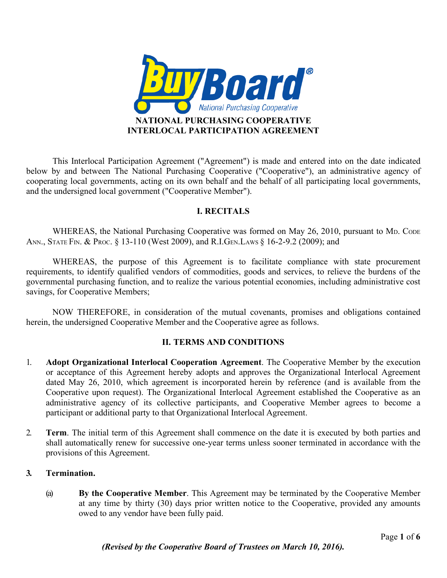

This Interlocal Participation Agreement ("Agreement") is made and entered into on the date indicated below by and between The National Purchasing Cooperative ("Cooperative"), an administrative agency of cooperating local governments, acting on its own behalf and the behalf of all participating local governments, and the undersigned local government ("Cooperative Member").

# **I. RECITALS**

WHEREAS, the National Purchasing Cooperative was formed on May 26, 2010, pursuant to MD. CODE ANN., STATE FIN. & PROC. § 13-110 (West 2009), and R.I.GEN. LAWS § 16-2-9.2 (2009); and

WHEREAS, the purpose of this Agreement is to facilitate compliance with state procurement requirements, to identify qualified vendors of commodities, goods and services, to relieve the burdens of the governmental purchasing function, and to realize the various potential economies, including administrative cost savings, for Cooperative Members;

NOW THEREFORE, in consideration of the mutual covenants, promises and obligations contained herein, the undersigned Cooperative Member and the Cooperative agree as follows.

#### **II. TERMS AND CONDITIONS**

- 1. **Adopt Organizational Interlocal Cooperation Agreement**. The Cooperative Member by the execution or acceptance of this Agreement hereby adopts and approves the Organizational Interlocal Agreement dated May 26, 2010, which agreement is incorporated herein by reference (and is available from the Cooperative upon request). The Organizational Interlocal Agreement established the Cooperative as an administrative agency of its collective participants, and Cooperative Member agrees to become a participant or additional party to that Organizational Interlocal Agreement.
- 2. **Term**. The initial term of this Agreement shall commence on the date it is executed by both parties and shall automatically renew for successive one-year terms unless sooner terminated in accordance with the provisions of this Agreement.

# **3. Termination.**

(a) **By the Cooperative Member**. This Agreement may be terminated by the Cooperative Member at any time by thirty (30) days prior written notice to the Cooperative, provided any amounts owed to any vendor have been fully paid.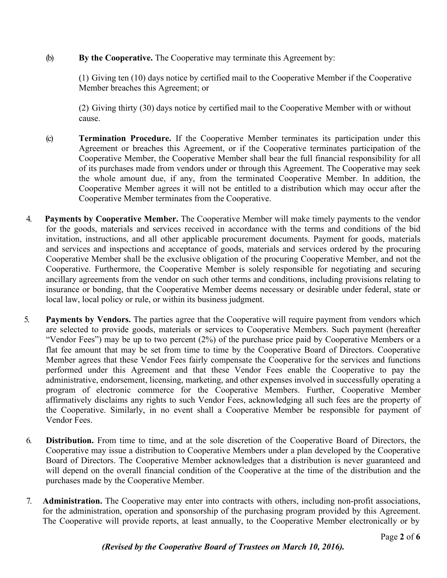### (b) **By the Cooperative.** The Cooperative may terminate this Agreement by:

(1) Giving ten (10) days notice by certified mail to the Cooperative Member if the Cooperative Member breaches this Agreement; or

(2) Giving thirty (30) days notice by certified mail to the Cooperative Member with or without cause.

- (c) **Termination Procedure.** If the Cooperative Member terminates its participation under this Agreement or breaches this Agreement, or if the Cooperative terminates participation of the Cooperative Member, the Cooperative Member shall bear the full financial responsibility for all of its purchases made from vendors under or through this Agreement. The Cooperative may seek the whole amount due, if any, from the terminated Cooperative Member. In addition, the Cooperative Member agrees it will not be entitled to a distribution which may occur after the Cooperative Member terminates from the Cooperative.
- 4. **Payments by Cooperative Member.** The Cooperative Member will make timely payments to the vendor for the goods, materials and services received in accordance with the terms and conditions of the bid invitation, instructions, and all other applicable procurement documents. Payment for goods, materials and services and inspections and acceptance of goods, materials and services ordered by the procuring Cooperative Member shall be the exclusive obligation of the procuring Cooperative Member, and not the Cooperative. Furthermore, the Cooperative Member is solely responsible for negotiating and securing ancillary agreements from the vendor on such other terms and conditions, including provisions relating to insurance or bonding, that the Cooperative Member deems necessary or desirable under federal, state or local law, local policy or rule, or within its business judgment.
- 5. **Payments by Vendors.** The parties agree that the Cooperative will require payment from vendors which are selected to provide goods, materials or services to Cooperative Members. Such payment (hereafter "Vendor Fees") may be up to two percent (2%) of the purchase price paid by Cooperative Members or a flat fee amount that may be set from time to time by the Cooperative Board of Directors. Cooperative Member agrees that these Vendor Fees fairly compensate the Cooperative for the services and functions performed under this Agreement and that these Vendor Fees enable the Cooperative to pay the administrative, endorsement, licensing, marketing, and other expenses involved in successfully operating a program of electronic commerce for the Cooperative Members. Further, Cooperative Member affirmatively disclaims any rights to such Vendor Fees, acknowledging all such fees are the property of the Cooperative. Similarly, in no event shall a Cooperative Member be responsible for payment of Vendor Fees.
- 6. **Distribution.** From time to time, and at the sole discretion of the Cooperative Board of Directors, the Cooperative may issue a distribution to Cooperative Members under a plan developed by the Cooperative Board of Directors. The Cooperative Member acknowledges that a distribution is never guaranteed and will depend on the overall financial condition of the Cooperative at the time of the distribution and the purchases made by the Cooperative Member.
- 7. **Administration.** The Cooperative may enter into contracts with others, including non-profit associations, for the administration, operation and sponsorship of the purchasing program provided by this Agreement. The Cooperative will provide reports, at least annually, to the Cooperative Member electronically or by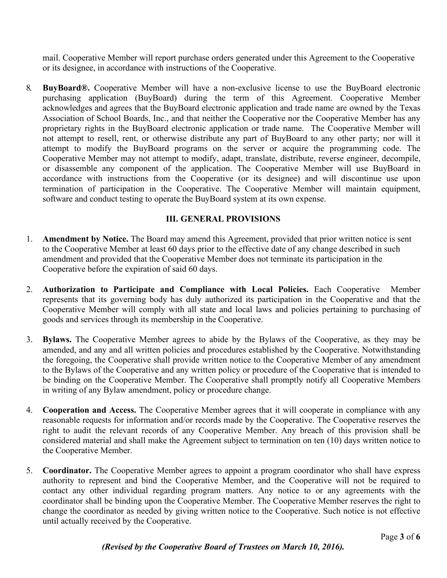mail. Cooperative Member will report purchase orders generated under this Agreement to the Cooperative or its designee, in accordance with instructions of the Cooperative.

8. **BuyBoard®.** Cooperative Member will have a non-exclusive license to use the BuyBoard electronic purchasing application (BuyBoard) during the term of this Agreement. Cooperative Member acknowledges and agrees that the BuyBoard electronic application and trade name are owned by the Texas Association of School Boards, Inc., and that neither the Cooperative nor the Cooperative Member has any proprietary rights in the BuyBoard electronic application or trade name. The Cooperative Member will not attempt to resell, rent, or otherwise distribute any part of BuyBoard to any other party; nor will it attempt to modify the BuyBoard programs on the server or acquire the programming code. The Cooperative Member may not attempt to modify, adapt, translate, distribute, reverse engineer, decompile, or disassemble any component of the application. The Cooperative Member will use BuyBoard in accordance with instructions from the Cooperative (or its designee) and will discontinue use upon termination of participation in the Cooperative. The Cooperative Member will maintain equipment, software and conduct testing to operate the BuyBoard system at its own expense.

# **III. GENERAL PROVISIONS**

- 1. **Amendment by Notice.** The Board may amend this Agreement, provided that prior written notice is sent to the Cooperative Member at least 60 days prior to the effective date of any change described in such amendment and provided that the Cooperative Member does not terminate its participation in the Cooperative before the expiration of said 60 days.
- 2. **Authorization to Participate and Compliance with Local Policies.** Each Cooperative Member represents that its governing body has duly authorized its participation in the Cooperative and that the Cooperative Member will comply with all state and local laws and policies pertaining to purchasing of goods and services through its membership in the Cooperative.
- 3. **Bylaws.** The Cooperative Member agrees to abide by the Bylaws of the Cooperative, as they may be amended, and any and all written policies and procedures established by the Cooperative. Notwithstanding the foregoing, the Cooperative shall provide written notice to the Cooperative Member of any amendment to the Bylaws of the Cooperative and any written policy or procedure of the Cooperative that is intended to be binding on the Cooperative Member. The Cooperative shall promptly notify all Cooperative Members in writing of any Bylaw amendment, policy or procedure change.
- 4. **Cooperation and Access.** The Cooperative Member agrees that it will cooperate in compliance with any reasonable requests for information and/or records made by the Cooperative. The Cooperative reserves the right to audit the relevant records of any Cooperative Member. Any breach of this provision shall be considered material and shall make the Agreement subject to termination on ten (10) days written notice to the Cooperative Member.
- 5. **Coordinator.** The Cooperative Member agrees to appoint a program coordinator who shall have express authority to represent and bind the Cooperative Member, and the Cooperative will not be required to contact any other individual regarding program matters. Any notice to or any agreements with the coordinator shall be binding upon the Cooperative Member. The Cooperative Member reserves the right to change the coordinator as needed by giving written notice to the Cooperative. Such notice is not effective until actually received by the Cooperative.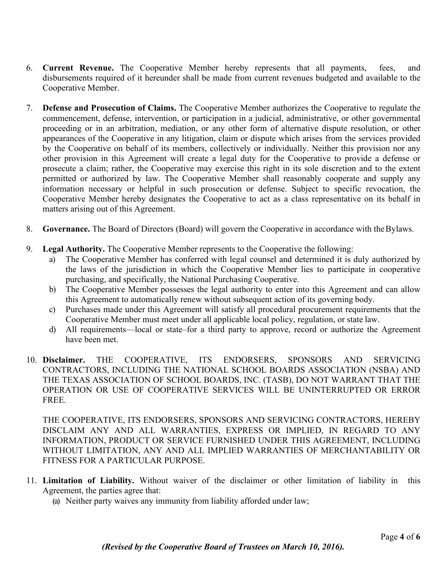- 6. **Current Revenue.** The Cooperative Member hereby represents that all payments, fees, and disbursements required of it hereunder shall be made from current revenues budgeted and available to the Cooperative Member.
- 7. **Defense and Prosecution of Claims.** The Cooperative Member authorizes the Cooperative to regulate the commencement, defense, intervention, or participation in a judicial, administrative, or other governmental proceeding or in an arbitration, mediation, or any other form of alternative dispute resolution, or other appearances of the Cooperative in any litigation, claim or dispute which arises from the services provided by the Cooperative on behalf of its members, collectively or individually. Neither this provision nor any other provision in this Agreement will create a legal duty for the Cooperative to provide a defense or prosecute a claim; rather, the Cooperative may exercise this right in its sole discretion and to the extent permitted or authorized by law. The Cooperative Member shall reasonably cooperate and supply any information necessary or helpful in such prosecution or defense. Subject to specific revocation, the Cooperative Member hereby designates the Cooperative to act as a class representative on its behalf in matters arising out of this Agreement.
- 8. **Governance.** The Board of Directors (Board) will govern the Cooperative in accordance with theBylaws.
- 9. **Legal Authority.** The Cooperative Member represents to the Cooperative the following:
	- a) The Cooperative Member has conferred with legal counsel and determined it is duly authorized by the laws of the jurisdiction in which the Cooperative Member lies to participate in cooperative purchasing, and specifically, the National Purchasing Cooperative.
	- b) The Cooperative Member possesses the legal authority to enter into this Agreement and can allow this Agreement to automatically renew without subsequent action of its governing body.
	- c) Purchases made under this Agreement will satisfy all procedural procurement requirements that the Cooperative Member must meet under all applicable local policy, regulation, or state law.
	- d) All requirements––local or state–for a third party to approve, record or authorize the Agreement have been met.
- 10. **Disclaimer.** THE COOPERATIVE, ITS ENDORSERS, SPONSORS AND SERVICING CONTRACTORS, INCLUDING THE NATIONAL SCHOOL BOARDS ASSOCIATION (NSBA) AND THE TEXAS ASSOCIATION OF SCHOOL BOARDS, INC. (TASB), DO NOT WARRANT THAT THE OPERATION OR USE OF COOPERATIVE SERVICES WILL BE UNINTERRUPTED OR ERROR FREE.

THE COOPERATIVE, ITS ENDORSERS, SPONSORS AND SERVICING CONTRACTORS, HEREBY DISCLAIM ANY AND ALL WARRANTIES, EXPRESS OR IMPLIED, IN REGARD TO ANY INFORMATION, PRODUCT OR SERVICE FURNISHED UNDER THIS AGREEMENT, INCLUDING WITHOUT LIMITATION, ANY AND ALL IMPLIED WARRANTIES OF MERCHANTABILITY OR FITNESS FOR A PARTICULAR PURPOSE.

- 11. **Limitation of Liability.** Without waiver of the disclaimer or other limitation of liability in this Agreement, the parties agree that:
	- (a) Neither party waives any immunity from liability afforded under law;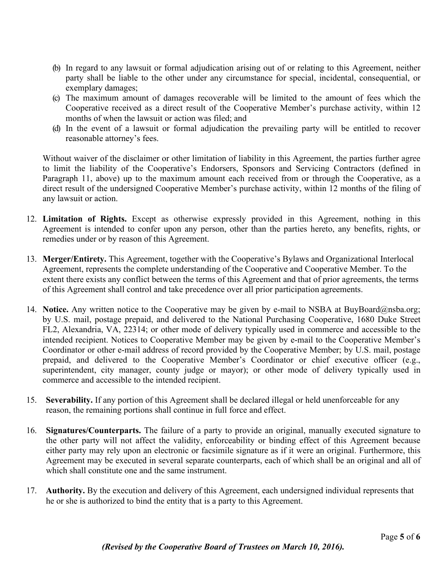- (b) In regard to any lawsuit or formal adjudication arising out of or relating to this Agreement, neither party shall be liable to the other under any circumstance for special, incidental, consequential, or exemplary damages;
- (c) The maximum amount of damages recoverable will be limited to the amount of fees which the Cooperative received as a direct result of the Cooperative Member's purchase activity, within 12 months of when the lawsuit or action was filed; and
- (d) In the event of a lawsuit or formal adjudication the prevailing party will be entitled to recover reasonable attorney's fees.

Without waiver of the disclaimer or other limitation of liability in this Agreement, the parties further agree to limit the liability of the Cooperative's Endorsers, Sponsors and Servicing Contractors (defined in Paragraph 11, above) up to the maximum amount each received from or through the Cooperative, as a direct result of the undersigned Cooperative Member's purchase activity, within 12 months of the filing of any lawsuit or action.

- 12. **Limitation of Rights.** Except as otherwise expressly provided in this Agreement, nothing in this Agreement is intended to confer upon any person, other than the parties hereto, any benefits, rights, or remedies under or by reason of this Agreement.
- 13. **Merger/Entirety.** This Agreement, together with the Cooperative's Bylaws and Organizational Interlocal Agreement, represents the complete understanding of the Cooperative and Cooperative Member. To the extent there exists any conflict between the terms of this Agreement and that of prior agreements, the terms of this Agreement shall control and take precedence over all prior participation agreements.
- 14. **Notice.** Any written notice to the Cooperative may be given by e-mail to NSBA at BuyBoard@nsba.org; by U.S. mail, postage prepaid, and delivered to the National Purchasing Cooperative, 1680 Duke Street FL2, Alexandria, VA, 22314; or other mode of delivery typically used in commerce and accessible to the intended recipient. Notices to Cooperative Member may be given by e-mail to the Cooperative Member's Coordinator or other e-mail address of record provided by the Cooperative Member; by U.S. mail, postage prepaid, and delivered to the Cooperative Member's Coordinator or chief executive officer (e.g., superintendent, city manager, county judge or mayor); or other mode of delivery typically used in commerce and accessible to the intended recipient.
- 15. **Severability.** If any portion of this Agreement shall be declared illegal or held unenforceable for any reason, the remaining portions shall continue in full force and effect.
- 16. **Signatures/Counterparts.** The failure of a party to provide an original, manually executed signature to the other party will not affect the validity, enforceability or binding effect of this Agreement because either party may rely upon an electronic or facsimile signature as if it were an original. Furthermore, this Agreement may be executed in several separate counterparts, each of which shall be an original and all of which shall constitute one and the same instrument.
- 17. **Authority.** By the execution and delivery of this Agreement, each undersigned individual represents that he or she is authorized to bind the entity that is a party to this Agreement.